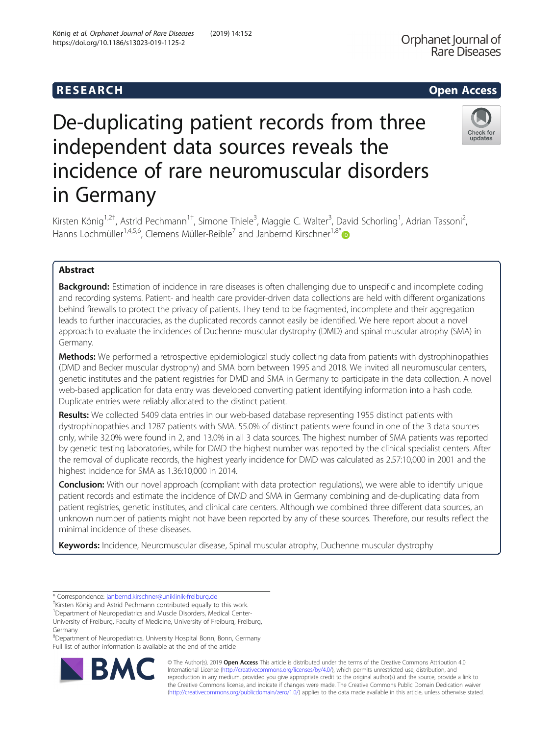# R E S EAR CH Open Access

# De-duplicating patient records from three independent data sources reveals the incidence of rare neuromuscular disorders in Germany



Kirsten König<sup>1,2†</sup>, Astrid Pechmann<sup>1†</sup>, Simone Thiele<sup>3</sup>, Maggie C. Walter<sup>3</sup>, David Schorling<sup>1</sup>, Adrian Tassoni<sup>2</sup> , Hanns Lochmüller<sup>1,4,5,6</sup>, Clemens Müller-Reible<sup>7</sup> and Janbernd Kirschner<sup>1,8[\\*](http://orcid.org/0000-0003-1618-7386)</sup>

# Abstract

**Background:** Estimation of incidence in rare diseases is often challenging due to unspecific and incomplete coding and recording systems. Patient- and health care provider-driven data collections are held with different organizations behind firewalls to protect the privacy of patients. They tend to be fragmented, incomplete and their aggregation leads to further inaccuracies, as the duplicated records cannot easily be identified. We here report about a novel approach to evaluate the incidences of Duchenne muscular dystrophy (DMD) and spinal muscular atrophy (SMA) in Germany.

Methods: We performed a retrospective epidemiological study collecting data from patients with dystrophinopathies (DMD and Becker muscular dystrophy) and SMA born between 1995 and 2018. We invited all neuromuscular centers, genetic institutes and the patient registries for DMD and SMA in Germany to participate in the data collection. A novel web-based application for data entry was developed converting patient identifying information into a hash code. Duplicate entries were reliably allocated to the distinct patient.

Results: We collected 5409 data entries in our web-based database representing 1955 distinct patients with dystrophinopathies and 1287 patients with SMA. 55.0% of distinct patients were found in one of the 3 data sources only, while 32.0% were found in 2, and 13.0% in all 3 data sources. The highest number of SMA patients was reported by genetic testing laboratories, while for DMD the highest number was reported by the clinical specialist centers. After the removal of duplicate records, the highest yearly incidence for DMD was calculated as 2.57:10,000 in 2001 and the highest incidence for SMA as 1.36:10,000 in 2014.

**Conclusion:** With our novel approach (compliant with data protection regulations), we were able to identify unique patient records and estimate the incidence of DMD and SMA in Germany combining and de-duplicating data from patient registries, genetic institutes, and clinical care centers. Although we combined three different data sources, an unknown number of patients might not have been reported by any of these sources. Therefore, our results reflect the minimal incidence of these diseases.

Keywords: Incidence, Neuromuscular disease, Spinal muscular atrophy, Duchenne muscular dystrophy

8 Department of Neuropediatrics, University Hospital Bonn, Bonn, Germany Full list of author information is available at the end of the article



© The Author(s). 2019 Open Access This article is distributed under the terms of the Creative Commons Attribution 4.0 International License [\(http://creativecommons.org/licenses/by/4.0/](http://creativecommons.org/licenses/by/4.0/)), which permits unrestricted use, distribution, and reproduction in any medium, provided you give appropriate credit to the original author(s) and the source, provide a link to the Creative Commons license, and indicate if changes were made. The Creative Commons Public Domain Dedication waiver [\(http://creativecommons.org/publicdomain/zero/1.0/](http://creativecommons.org/publicdomain/zero/1.0/)) applies to the data made available in this article, unless otherwise stated.

<sup>\*</sup> Correspondence: [janbernd.kirschner@uniklinik-freiburg.de](mailto:janbernd.kirschner@uniklinik-freiburg.de) †

<sup>&</sup>lt;sup>+</sup>Kirsten König and Astrid Pechmann contributed equally to this work.

<sup>&</sup>lt;sup>1</sup>Department of Neuropediatrics and Muscle Disorders, Medical Center-University of Freiburg, Faculty of Medicine, University of Freiburg, Freiburg, Germany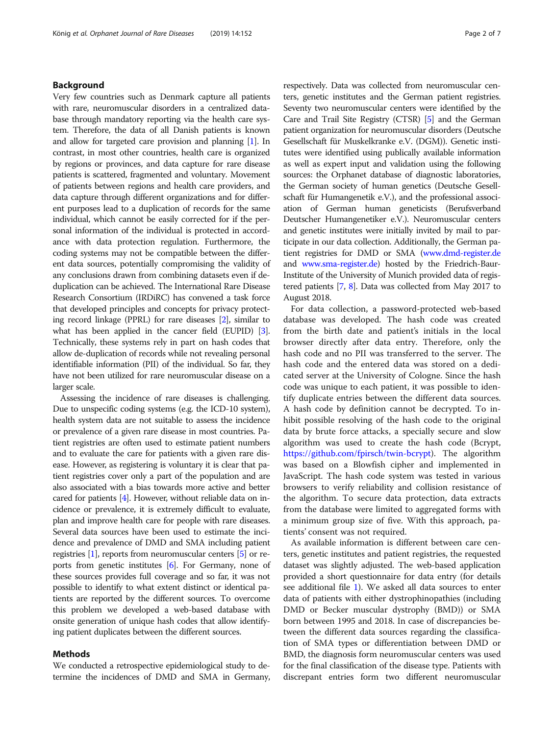# Background

Very few countries such as Denmark capture all patients with rare, neuromuscular disorders in a centralized database through mandatory reporting via the health care system. Therefore, the data of all Danish patients is known and allow for targeted care provision and planning [[1](#page-5-0)]. In contrast, in most other countries, health care is organized by regions or provinces, and data capture for rare disease patients is scattered, fragmented and voluntary. Movement of patients between regions and health care providers, and data capture through different organizations and for different purposes lead to a duplication of records for the same individual, which cannot be easily corrected for if the personal information of the individual is protected in accordance with data protection regulation. Furthermore, the coding systems may not be compatible between the different data sources, potentially compromising the validity of any conclusions drawn from combining datasets even if deduplication can be achieved. The International Rare Disease Research Consortium (IRDiRC) has convened a task force that developed principles and concepts for privacy protecting record linkage (PPRL) for rare diseases [\[2](#page-5-0)], similar to what has been applied in the cancer field (EUPID) [[3](#page-5-0)]. Technically, these systems rely in part on hash codes that allow de-duplication of records while not revealing personal identifiable information (PII) of the individual. So far, they have not been utilized for rare neuromuscular disease on a larger scale.

Assessing the incidence of rare diseases is challenging. Due to unspecific coding systems (e.g. the ICD-10 system), health system data are not suitable to assess the incidence or prevalence of a given rare disease in most countries. Patient registries are often used to estimate patient numbers and to evaluate the care for patients with a given rare disease. However, as registering is voluntary it is clear that patient registries cover only a part of the population and are also associated with a bias towards more active and better cared for patients [\[4\]](#page-5-0). However, without reliable data on incidence or prevalence, it is extremely difficult to evaluate, plan and improve health care for people with rare diseases. Several data sources have been used to estimate the incidence and prevalence of DMD and SMA including patient registries [\[1\]](#page-5-0), reports from neuromuscular centers [[5](#page-5-0)] or reports from genetic institutes [\[6\]](#page-5-0). For Germany, none of these sources provides full coverage and so far, it was not possible to identify to what extent distinct or identical patients are reported by the different sources. To overcome this problem we developed a web-based database with onsite generation of unique hash codes that allow identifying patient duplicates between the different sources.

## Methods

We conducted a retrospective epidemiological study to determine the incidences of DMD and SMA in Germany, respectively. Data was collected from neuromuscular centers, genetic institutes and the German patient registries. Seventy two neuromuscular centers were identified by the Care and Trail Site Registry (CTSR) [\[5](#page-5-0)] and the German patient organization for neuromuscular disorders (Deutsche Gesellschaft für Muskelkranke e.V. (DGM)). Genetic institutes were identified using publically available information as well as expert input and validation using the following sources: the Orphanet database of diagnostic laboratories, the German society of human genetics (Deutsche Gesellschaft für Humangenetik e.V.), and the professional association of German human geneticists (Berufsverband Deutscher Humangenetiker e.V.). Neuromuscular centers and genetic institutes were initially invited by mail to participate in our data collection. Additionally, the German patient registries for DMD or SMA [\(www.dmd-register.de](http://www.dmd-register.de) and [www.sma-register.de\)](http://www.sma-register.de) hosted by the Friedrich-Baur-Institute of the University of Munich provided data of registered patients [\[7,](#page-5-0) [8\]](#page-5-0). Data was collected from May 2017 to August 2018.

For data collection, a password-protected web-based database was developed. The hash code was created from the birth date and patient's initials in the local browser directly after data entry. Therefore, only the hash code and no PII was transferred to the server. The hash code and the entered data was stored on a dedicated server at the University of Cologne. Since the hash code was unique to each patient, it was possible to identify duplicate entries between the different data sources. A hash code by definition cannot be decrypted. To inhibit possible resolving of the hash code to the original data by brute force attacks, a specially secure and slow algorithm was used to create the hash code (Bcrypt, <https://github.com/fpirsch/twin-bcrypt>). The algorithm was based on a Blowfish cipher and implemented in JavaScript. The hash code system was tested in various browsers to verify reliability and collision resistance of the algorithm. To secure data protection, data extracts from the database were limited to aggregated forms with a minimum group size of five. With this approach, patients' consent was not required.

As available information is different between care centers, genetic institutes and patient registries, the requested dataset was slightly adjusted. The web-based application provided a short questionnaire for data entry (for details see additional file [1](#page-5-0)). We asked all data sources to enter data of patients with either dystrophinopathies (including DMD or Becker muscular dystrophy (BMD)) or SMA born between 1995 and 2018. In case of discrepancies between the different data sources regarding the classification of SMA types or differentiation between DMD or BMD, the diagnosis form neuromuscular centers was used for the final classification of the disease type. Patients with discrepant entries form two different neuromuscular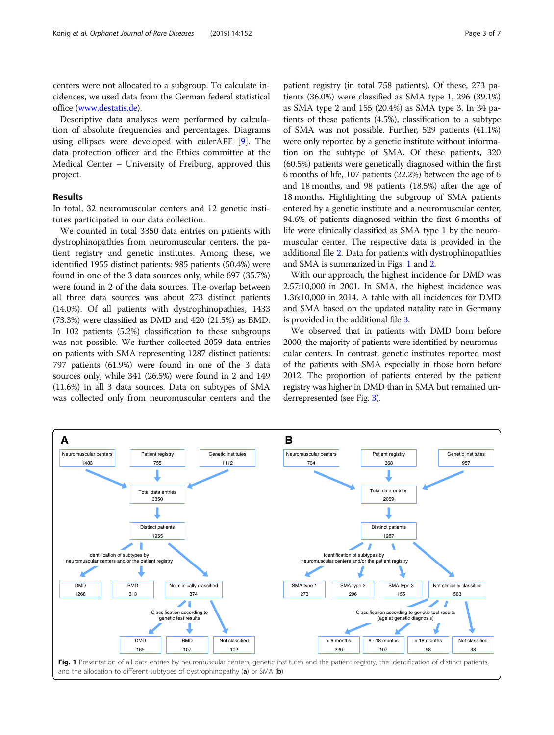centers were not allocated to a subgroup. To calculate incidences, we used data from the German federal statistical office [\(www.destatis.de\)](http://www.destatis.de).

Descriptive data analyses were performed by calculation of absolute frequencies and percentages. Diagrams using ellipses were developed with eulerAPE [[9\]](#page-5-0). The data protection officer and the Ethics committee at the Medical Center – University of Freiburg, approved this project.

# Results

In total, 32 neuromuscular centers and 12 genetic institutes participated in our data collection.

We counted in total 3350 data entries on patients with dystrophinopathies from neuromuscular centers, the patient registry and genetic institutes. Among these, we identified 1955 distinct patients: 985 patients (50.4%) were found in one of the 3 data sources only, while 697 (35.7%) were found in 2 of the data sources. The overlap between all three data sources was about 273 distinct patients (14.0%). Of all patients with dystrophinopathies, 1433 (73.3%) were classified as DMD and 420 (21.5%) as BMD. In 102 patients (5.2%) classification to these subgroups was not possible. We further collected 2059 data entries on patients with SMA representing 1287 distinct patients: 797 patients (61.9%) were found in one of the 3 data sources only, while 341 (26.5%) were found in 2 and 149 (11.6%) in all 3 data sources. Data on subtypes of SMA was collected only from neuromuscular centers and the

patient registry (in total 758 patients). Of these, 273 patients (36.0%) were classified as SMA type 1, 296 (39.1%) as SMA type 2 and 155 (20.4%) as SMA type 3. In 34 patients of these patients (4.5%), classification to a subtype of SMA was not possible. Further, 529 patients (41.1%) were only reported by a genetic institute without information on the subtype of SMA. Of these patients, 320 (60.5%) patients were genetically diagnosed within the first 6 months of life, 107 patients (22.2%) between the age of 6 and 18 months, and 98 patients (18.5%) after the age of 18 months. Highlighting the subgroup of SMA patients entered by a genetic institute and a neuromuscular center, 94.6% of patients diagnosed within the first 6 months of life were clinically classified as SMA type 1 by the neuromuscular center. The respective data is provided in the additional file [2.](#page-5-0) Data for patients with dystrophinopathies and SMA is summarized in Figs. 1 and [2.](#page-3-0)

With our approach, the highest incidence for DMD was 2.57:10,000 in 2001. In SMA, the highest incidence was 1.36:10,000 in 2014. A table with all incidences for DMD and SMA based on the updated natality rate in Germany is provided in the additional file [3.](#page-5-0)

We observed that in patients with DMD born before 2000, the majority of patients were identified by neuromuscular centers. In contrast, genetic institutes reported most of the patients with SMA especially in those born before 2012. The proportion of patients entered by the patient registry was higher in DMD than in SMA but remained underrepresented (see Fig. [3\)](#page-3-0).

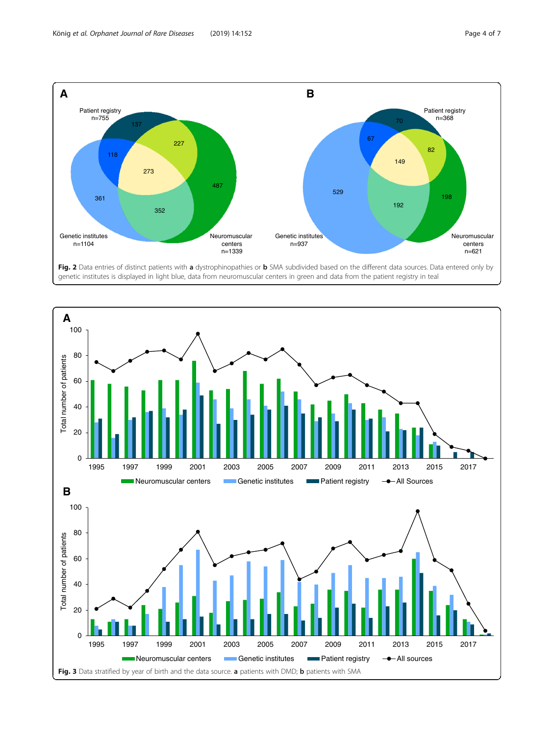<span id="page-3-0"></span>

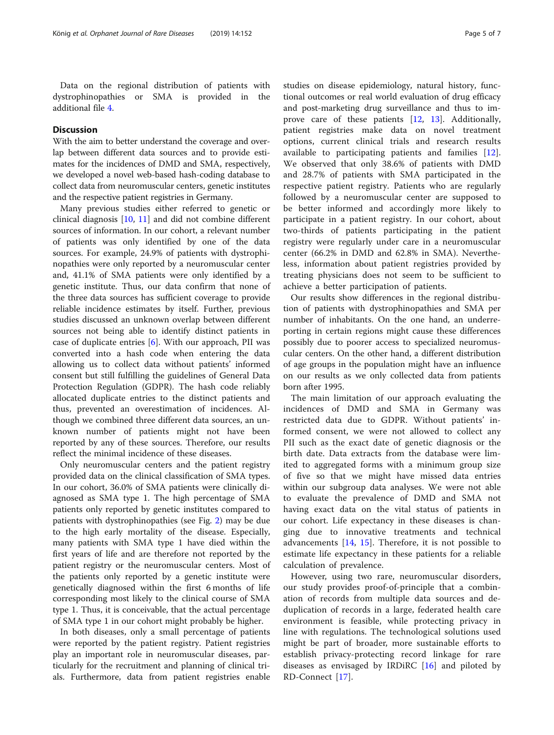Data on the regional distribution of patients with dystrophinopathies or SMA is provided in the additional file [4](#page-5-0).

# Discussion

With the aim to better understand the coverage and overlap between different data sources and to provide estimates for the incidences of DMD and SMA, respectively, we developed a novel web-based hash-coding database to collect data from neuromuscular centers, genetic institutes and the respective patient registries in Germany.

Many previous studies either referred to genetic or clinical diagnosis [\[10](#page-5-0), [11](#page-5-0)] and did not combine different sources of information. In our cohort, a relevant number of patients was only identified by one of the data sources. For example, 24.9% of patients with dystrophinopathies were only reported by a neuromuscular center and, 41.1% of SMA patients were only identified by a genetic institute. Thus, our data confirm that none of the three data sources has sufficient coverage to provide reliable incidence estimates by itself. Further, previous studies discussed an unknown overlap between different sources not being able to identify distinct patients in case of duplicate entries  $[6]$  $[6]$ . With our approach, PII was converted into a hash code when entering the data allowing us to collect data without patients' informed consent but still fulfilling the guidelines of General Data Protection Regulation (GDPR). The hash code reliably allocated duplicate entries to the distinct patients and thus, prevented an overestimation of incidences. Although we combined three different data sources, an unknown number of patients might not have been reported by any of these sources. Therefore, our results reflect the minimal incidence of these diseases.

Only neuromuscular centers and the patient registry provided data on the clinical classification of SMA types. In our cohort, 36.0% of SMA patients were clinically diagnosed as SMA type 1. The high percentage of SMA patients only reported by genetic institutes compared to patients with dystrophinopathies (see Fig. [2](#page-3-0)) may be due to the high early mortality of the disease. Especially, many patients with SMA type 1 have died within the first years of life and are therefore not reported by the patient registry or the neuromuscular centers. Most of the patients only reported by a genetic institute were genetically diagnosed within the first 6 months of life corresponding most likely to the clinical course of SMA type 1. Thus, it is conceivable, that the actual percentage of SMA type 1 in our cohort might probably be higher.

In both diseases, only a small percentage of patients were reported by the patient registry. Patient registries play an important role in neuromuscular diseases, particularly for the recruitment and planning of clinical trials. Furthermore, data from patient registries enable studies on disease epidemiology, natural history, functional outcomes or real world evaluation of drug efficacy and post-marketing drug surveillance and thus to im-prove care of these patients [\[12,](#page-5-0) [13\]](#page-5-0). Additionally, patient registries make data on novel treatment options, current clinical trials and research results available to participating patients and families [\[12](#page-5-0)]. We observed that only 38.6% of patients with DMD and 28.7% of patients with SMA participated in the respective patient registry. Patients who are regularly followed by a neuromuscular center are supposed to be better informed and accordingly more likely to participate in a patient registry. In our cohort, about two-thirds of patients participating in the patient registry were regularly under care in a neuromuscular center (66.2% in DMD and 62.8% in SMA). Nevertheless, information about patient registries provided by treating physicians does not seem to be sufficient to achieve a better participation of patients.

Our results show differences in the regional distribution of patients with dystrophinopathies and SMA per number of inhabitants. On the one hand, an underreporting in certain regions might cause these differences possibly due to poorer access to specialized neuromuscular centers. On the other hand, a different distribution of age groups in the population might have an influence on our results as we only collected data from patients born after 1995.

The main limitation of our approach evaluating the incidences of DMD and SMA in Germany was restricted data due to GDPR. Without patients' informed consent, we were not allowed to collect any PII such as the exact date of genetic diagnosis or the birth date. Data extracts from the database were limited to aggregated forms with a minimum group size of five so that we might have missed data entries within our subgroup data analyses. We were not able to evaluate the prevalence of DMD and SMA not having exact data on the vital status of patients in our cohort. Life expectancy in these diseases is changing due to innovative treatments and technical advancements [[14,](#page-6-0) [15](#page-6-0)]. Therefore, it is not possible to estimate life expectancy in these patients for a reliable calculation of prevalence.

However, using two rare, neuromuscular disorders, our study provides proof-of-principle that a combination of records from multiple data sources and deduplication of records in a large, federated health care environment is feasible, while protecting privacy in line with regulations. The technological solutions used might be part of broader, more sustainable efforts to establish privacy-protecting record linkage for rare diseases as envisaged by IRDiRC [[16\]](#page-6-0) and piloted by RD-Connect [\[17](#page-6-0)].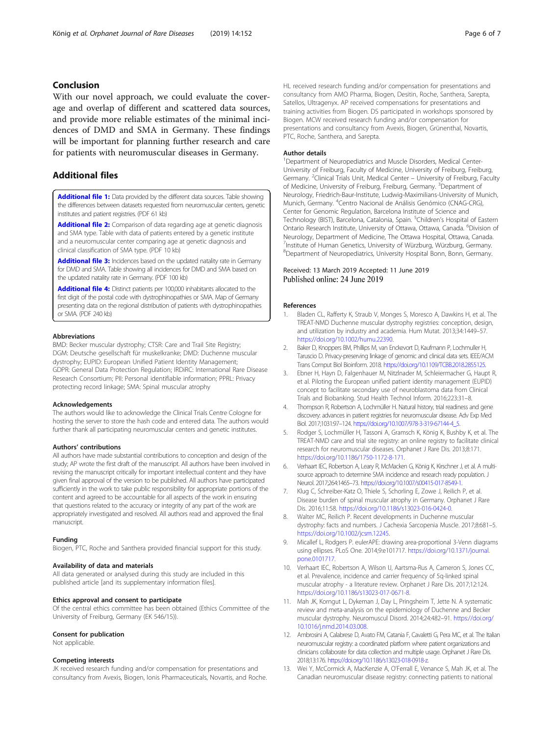# <span id="page-5-0"></span>Conclusion

With our novel approach, we could evaluate the coverage and overlap of different and scattered data sources, and provide more reliable estimates of the minimal incidences of DMD and SMA in Germany. These findings will be important for planning further research and care for patients with neuromuscular diseases in Germany.

# Additional files

[Additional file 1:](https://doi.org/10.1186/s13023-019-1125-2) Data provided by the different data sources. Table showing the differences between datasets requested from neuromuscular centers, genetic institutes and patient registries. (PDF 61 kb)

[Additional file 2:](https://doi.org/10.1186/s13023-019-1125-2) Comparison of data regarding age at genetic diagnosis and SMA type. Table with data of patients entered by a genetic institute and a neuromuscular center comparing age at genetic diagnosis and clinical classification of SMA type. (PDF 10 kb)

[Additional file 3:](https://doi.org/10.1186/s13023-019-1125-2) Incidences based on the updated natality rate in Germany for DMD and SMA. Table showing all incidences for DMD and SMA based on the updated natality rate in Germany. (PDF 100 kb)

[Additional file 4:](https://doi.org/10.1186/s13023-019-1125-2) Distinct patients per 100,000 inhabitants allocated to the first digit of the postal code with dystrophinopathies or SMA. Map of Germany presenting data on the regional distribution of patients with dystrophinopathies or SMA. (PDF 240 kb)

#### Abbreviations

BMD: Becker muscular dystrophy; CTSR: Care and Trail Site Registry; DGM: Deutsche gesellschaft für muskelkranke; DMD: Duchenne muscular dystrophy; EUPID: European Unified Patient Identity Management; GDPR: General Data Protection Regulation; IRDiRC: International Rare Disease Research Consortium; PII: Personal identifiable information; PPRL: Privacy protecting record linkage; SMA: Spinal muscular atrophy

#### Acknowledgements

The authors would like to acknowledge the Clinical Trials Centre Cologne for hosting the server to store the hash code and entered data. The authors would further thank all participating neuromuscular centers and genetic institutes.

#### Authors' contributions

All authors have made substantial contributions to conception and design of the study; AP wrote the first draft of the manuscript. All authors have been involved in revising the manuscript critically for important intellectual content and they have given final approval of the version to be published. All authors have participated sufficiently in the work to take public responsibility for appropriate portions of the content and agreed to be accountable for all aspects of the work in ensuring that questions related to the accuracy or integrity of any part of the work are appropriately investigated and resolved. All authors read and approved the final manuscript.

#### Funding

Biogen, PTC, Roche and Santhera provided financial support for this study.

### Availability of data and materials

All data generated or analysed during this study are included in this published article [and its supplementary information files].

#### Ethics approval and consent to participate

Of the central ethics committee has been obtained (Ethics Committee of the University of Freiburg, Germany (EK 546/15)).

#### Consent for publication

Not applicable.

#### Competing interests

JK received research funding and/or compensation for presentations and consultancy from Avexis, Biogen, Ionis Pharmaceuticals, Novartis, and Roche. HL received research funding and/or compensation for presentations and consultancy from AMO Pharma, Biogen, Desitin, Roche, Santhera, Sarepta, Satellos, Ultragenyx. AP received compensations for presentations and training activities from Biogen. DS participated in workshops sponsored by Biogen. MCW received research funding and/or compensation for presentations and consultancy from Avexis, Biogen, Grünenthal, Novartis, PTC, Roche, Santhera, and Sarepta.

#### Author details

<sup>1</sup>Department of Neuropediatrics and Muscle Disorders, Medical Center-University of Freiburg, Faculty of Medicine, University of Freiburg, Freiburg, Germany. <sup>2</sup>Clinical Trials Unit, Medical Center - University of Freiburg, Faculty of Medicine, University of Freiburg, Freiburg, Germany. <sup>3</sup>Department of Neurology, Friedrich-Baur-Institute, Ludwig-Maximilians-University of Munich, Munich, Germany. <sup>4</sup>Centro Nacional de Análisis Genómico (CNAG-CRG) Center for Genomic Regulation, Barcelona Institute of Science and Technology (BIST), Barcelona, Catalonia, Spain. <sup>5</sup>Children's Hospital of Eastern Ontario Research Institute, University of Ottawa, Ottawa, Canada. <sup>6</sup>Division of Neurology, Department of Medicine, The Ottawa Hospital, Ottawa, Canada. 7 Institute of Human Genetics, University of Würzburg, Würzburg, Germany. 8 Department of Neuropediatrics, University Hospital Bonn, Bonn, Germany.

#### Received: 13 March 2019 Accepted: 11 June 2019 Published online: 24 June 2019

#### References

- 1. Bladen CL, Rafferty K, Straub V, Monges S, Moresco A, Dawkins H, et al. The TREAT-NMD Duchenne muscular dystrophy registries: conception, design, and utilization by industry and academia. Hum Mutat. 2013;34:1449–57. <https://doi.org/10.1002/humu.22390>.
- 2. Baker D, Knoppers BM, Phillips M, van Enckevort D, Kaufmann P, Lochmuller H, Taruscio D. Privacy-preserving linkage of genomic and clinical data sets. IEEE/ACM Trans Comput Biol Bioinform. 2018. [https://doi.org/10.1109/TCBB.2018.2855125.](https://doi.org/10.1109/TCBB.2018.2855125)
- 3. Ebner H, Hayn D, Falgenhauer M, Nitzlnader M, Schleiermacher G, Haupt R, et al. Piloting the European unified patient identity management (EUPID) concept to facilitate secondary use of neuroblastoma data from Clinical Trials and Biobanking. Stud Health Technol Inform. 2016;223:31–8.
- 4. Thompson R, Robertson A, Lochmüller H. Natural history, trial readiness and gene discovery: advances in patient registries for neuromuscular disease. Adv Exp Med Biol. 2017;1031:97–124. [https://doi.org/10.1007/978-3-319-67144-4\\_5.](https://doi.org/10.1007/978-3-319-67144-4_5)
- 5. Rodger S, Lochmüller H, Tassoni A, Gramsch K, König K, Bushby K, et al. The TREAT-NMD care and trial site registry: an online registry to facilitate clinical research for neuromuscular diseases. Orphanet J Rare Dis. 2013;8:171. <https://doi.org/10.1186/1750-1172-8-171>.
- 6. Verhaart IEC, Robertson A, Leary R, McMacken G, König K, Kirschner J, et al. A multisource approach to determine SMA incidence and research ready population. J Neurol. 2017;264:1465–73. <https://doi.org/10.1007/s00415-017-8549-1>.
- 7. Klug C, Schreiber-Katz O, Thiele S, Schorling E, Zowe J, Reilich P, et al. Disease burden of spinal muscular atrophy in Germany. Orphanet J Rare Dis. 2016;11:58. <https://doi.org/10.1186/s13023-016-0424-0>.
- 8. Walter MC, Reilich P. Recent developments in Duchenne muscular dystrophy: facts and numbers. J Cachexia Sarcopenia Muscle. 2017;8:681–5. <https://doi.org/10.1002/jcsm.12245>.
- 9. Micallef L, Rodgers P. eulerAPE: drawing area-proportional 3-Venn diagrams using ellipses. PLoS One. 2014;9:e101717. [https://doi.org/10.1371/journal.](https://doi.org/10.1371/journal.pone.0101717) [pone.0101717.](https://doi.org/10.1371/journal.pone.0101717)
- 10. Verhaart IEC, Robertson A, Wilson IJ, Aartsma-Rus A, Cameron S, Jones CC, et al. Prevalence, incidence and carrier frequency of 5q-linked spinal muscular atrophy - a literature review. Orphanet J Rare Dis. 2017;12:124. <https://doi.org/10.1186/s13023-017-0671-8>.
- 11. Mah JK, Korngut L, Dykeman J, Day L, Pringsheim T, Jette N. A systematic review and meta-analysis on the epidemiology of Duchenne and Becker muscular dystrophy. Neuromuscul Disord. 2014;24:482–91. [https://doi.org/](https://doi.org/10.1016/j.nmd.2014.03.008) [10.1016/j.nmd.2014.03.008](https://doi.org/10.1016/j.nmd.2014.03.008).
- 12. Ambrosini A, Calabrese D, Avato FM, Catania F, Cavaletti G, Pera MC, et al. The Italian neuromuscular registry: a coordinated platform where patient organizations and clinicians collaborate for data collection and multiple usage. Orphanet J Rare Dis. 2018;13:176. [https://doi.org/10.1186/s13023-018-0918-z.](https://doi.org/10.1186/s13023-018-0918-z)
- 13. Wei Y, McCormick A, MacKenzie A, O'Ferrall E, Venance S, Mah JK, et al. The Canadian neuromuscular disease registry: connecting patients to national